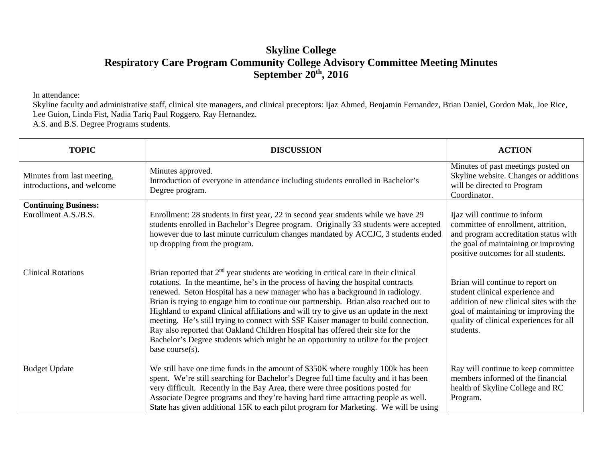## **Skyline College Respiratory Care Program Community College Advisory Committee Meeting Minutes September 20th, 2016**

In attendance:

Skyline faculty and administrative staff, clinical site managers, and clinical preceptors: Ijaz Ahmed, Benjamin Fernandez, Brian Daniel, Gordon Mak, Joe Rice, Lee Guion, Linda Fist, Nadia Tariq Paul Roggero, Ray Hernandez.

A.S. and B.S. Degree Programs students.

| <b>TOPIC</b>                                             | <b>DISCUSSION</b>                                                                                                                                                                                                                                                                                                                                                                                                                                                                                                                                                                                                                                                                                                               | <b>ACTION</b>                                                                                                                                                                                                  |
|----------------------------------------------------------|---------------------------------------------------------------------------------------------------------------------------------------------------------------------------------------------------------------------------------------------------------------------------------------------------------------------------------------------------------------------------------------------------------------------------------------------------------------------------------------------------------------------------------------------------------------------------------------------------------------------------------------------------------------------------------------------------------------------------------|----------------------------------------------------------------------------------------------------------------------------------------------------------------------------------------------------------------|
| Minutes from last meeting,<br>introductions, and welcome | Minutes approved.<br>Introduction of everyone in attendance including students enrolled in Bachelor's<br>Degree program.                                                                                                                                                                                                                                                                                                                                                                                                                                                                                                                                                                                                        | Minutes of past meetings posted on<br>Skyline website. Changes or additions<br>will be directed to Program<br>Coordinator.                                                                                     |
| <b>Continuing Business:</b><br>Enrollment A.S./B.S.      | Enrollment: 28 students in first year, 22 in second year students while we have 29<br>students enrolled in Bachelor's Degree program. Originally 33 students were accepted<br>however due to last minute curriculum changes mandated by ACCJC, 3 students ended<br>up dropping from the program.                                                                                                                                                                                                                                                                                                                                                                                                                                | Ijaz will continue to inform<br>committee of enrollment, attrition,<br>and program accreditation status with<br>the goal of maintaining or improving<br>positive outcomes for all students.                    |
| <b>Clinical Rotations</b>                                | Brian reported that $2nd$ year students are working in critical care in their clinical<br>rotations. In the meantime, he's in the process of having the hospital contracts<br>renewed. Seton Hospital has a new manager who has a background in radiology.<br>Brian is trying to engage him to continue our partnership. Brian also reached out to<br>Highland to expand clinical affiliations and will try to give us an update in the next<br>meeting. He's still trying to connect with SSF Kaiser manager to build connection.<br>Ray also reported that Oakland Children Hospital has offered their site for the<br>Bachelor's Degree students which might be an opportunity to utilize for the project<br>base course(s). | Brian will continue to report on<br>student clinical experience and<br>addition of new clinical sites with the<br>goal of maintaining or improving the<br>quality of clinical experiences for all<br>students. |
| <b>Budget Update</b>                                     | We still have one time funds in the amount of \$350K where roughly 100k has been<br>spent. We're still searching for Bachelor's Degree full time faculty and it has been<br>very difficult. Recently in the Bay Area, there were three positions posted for<br>Associate Degree programs and they're having hard time attracting people as well.<br>State has given additional 15K to each pilot program for Marketing. We will be using                                                                                                                                                                                                                                                                                        | Ray will continue to keep committee<br>members informed of the financial<br>health of Skyline College and RC<br>Program.                                                                                       |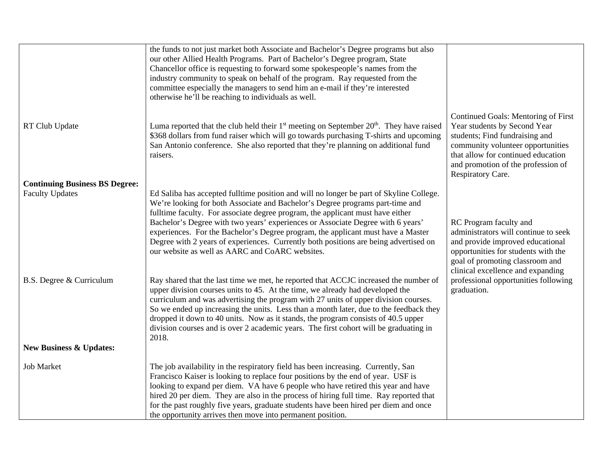|                                       | the funds to not just market both Associate and Bachelor's Degree programs but also<br>our other Allied Health Programs. Part of Bachelor's Degree program, State<br>Chancellor office is requesting to forward some spokespeople's names from the<br>industry community to speak on behalf of the program. Ray requested from the<br>committee especially the managers to send him an e-mail if they're interested<br>otherwise he'll be reaching to individuals as well.                                                                                                   |                                                                                                                                                                                                                                             |
|---------------------------------------|------------------------------------------------------------------------------------------------------------------------------------------------------------------------------------------------------------------------------------------------------------------------------------------------------------------------------------------------------------------------------------------------------------------------------------------------------------------------------------------------------------------------------------------------------------------------------|---------------------------------------------------------------------------------------------------------------------------------------------------------------------------------------------------------------------------------------------|
| RT Club Update                        | Luma reported that the club held their $1st$ meeting on September $20th$ . They have raised<br>\$368 dollars from fund raiser which will go towards purchasing T-shirts and upcoming<br>San Antonio conference. She also reported that they're planning on additional fund<br>raisers.                                                                                                                                                                                                                                                                                       | Continued Goals: Mentoring of First<br>Year students by Second Year<br>students; Find fundraising and<br>community volunteer opportunities<br>that allow for continued education<br>and promotion of the profession of<br>Respiratory Care. |
| <b>Continuing Business BS Degree:</b> |                                                                                                                                                                                                                                                                                                                                                                                                                                                                                                                                                                              |                                                                                                                                                                                                                                             |
| <b>Faculty Updates</b>                | Ed Saliba has accepted fulltime position and will no longer be part of Skyline College.<br>We're looking for both Associate and Bachelor's Degree programs part-time and<br>fulltime faculty. For associate degree program, the applicant must have either<br>Bachelor's Degree with two years' experiences or Associate Degree with 6 years'<br>experiences. For the Bachelor's Degree program, the applicant must have a Master<br>Degree with 2 years of experiences. Currently both positions are being advertised on<br>our website as well as AARC and CoARC websites. | RC Program faculty and<br>administrators will continue to seek<br>and provide improved educational<br>opportunities for students with the<br>goal of promoting classroom and<br>clinical excellence and expanding                           |
| B.S. Degree & Curriculum              | Ray shared that the last time we met, he reported that ACCJC increased the number of<br>upper division courses units to 45. At the time, we already had developed the<br>curriculum and was advertising the program with 27 units of upper division courses.<br>So we ended up increasing the units. Less than a month later, due to the feedback they<br>dropped it down to 40 units. Now as it stands, the program consists of 40.5 upper<br>division courses and is over 2 academic years. The first cohort will be graduating in<br>2018.                                | professional opportunities following<br>graduation.                                                                                                                                                                                         |
| <b>New Business &amp; Updates:</b>    |                                                                                                                                                                                                                                                                                                                                                                                                                                                                                                                                                                              |                                                                                                                                                                                                                                             |
| <b>Job Market</b>                     | The job availability in the respiratory field has been increasing. Currently, San<br>Francisco Kaiser is looking to replace four positions by the end of year. USF is<br>looking to expand per diem. VA have 6 people who have retired this year and have<br>hired 20 per diem. They are also in the process of hiring full time. Ray reported that<br>for the past roughly five years, graduate students have been hired per diem and once<br>the opportunity arrives then move into permanent position.                                                                    |                                                                                                                                                                                                                                             |